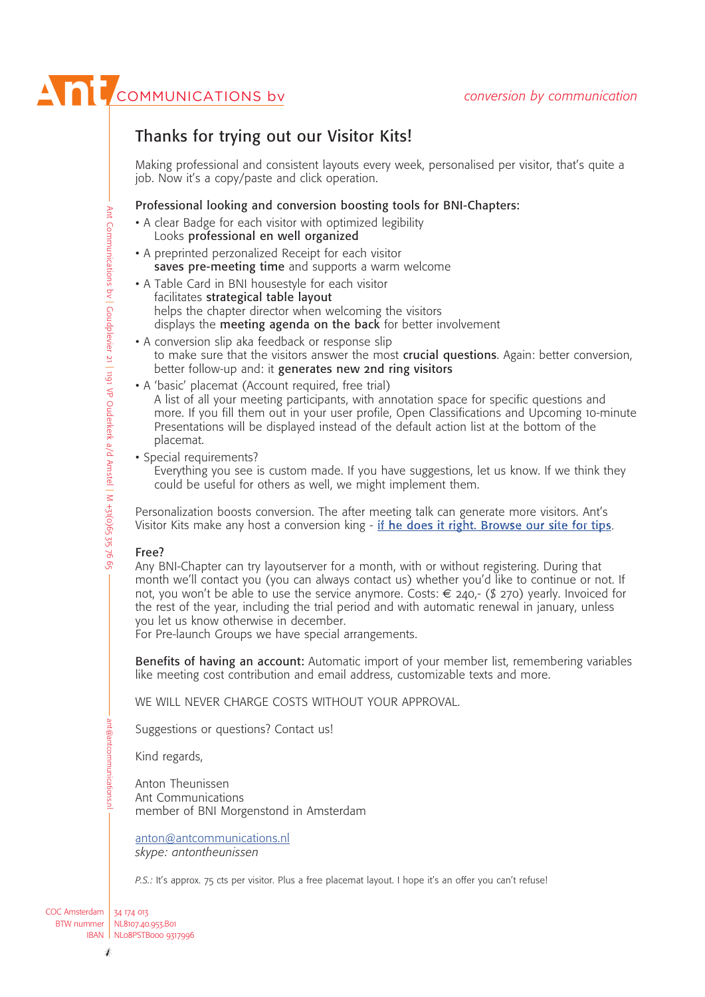# **ANTI** COMMUNICATIONS by

# **Thanks for trying out our Visitor Kits!**

Making professional and consistent layouts every week, personalised per visitor, that's quite a job. Now it's a copy/paste and click operation.

#### **Professional looking and conversion boosting tools for BNI-Chapters:**

- A clear Badge for each visitor with optimized legibility Looks **professional en well organized**
- A preprinted perzonalized Receipt for each visitor **saves pre-meeting time** and supports a warm welcome
- A Table Card in BNI housestyle for each visitor facilitates **strategical table layout** helps the chapter director when welcoming the visitors displays the **meeting agenda on the back** for better involvement
- A conversion slip aka feedback or response slip to make sure that the visitors answer the most **crucial questions**. Again: better conversion, better follow-up and: it **generates new 2nd ring visitors**
- A 'basic' placemat (Account required, free trial) A list of all your meeting participants, with annotation space for specific questions and more. If you fill them out in your user profile, Open Classifications and Upcoming 10-minute Presentations will be displayed instead of the default action list at the bottom of the placemat.
- Special requirements? Everything you see is custom made. If you have suggestions, let us know. If we think they could be useful for others as well, we might implement them.

Personalization boosts conversion. The after meeting talk can generate more visitors. Ant's Personalization boosts conversion. The after meeting talk can generate more visitors. Ant's<br>Visitor Kits make any host a conversion king - <u>if <mark>he does it right. Browse our site for tips</mark>.</u>

#### **Free?**

Any BNI-Chapter can try layoutserver for a month, with or without registering. During that month we'll contact you (you can always contact us) whether you'd like to continue or not. If not, you won't be able to use the service anymore. Costs:  $\epsilon$  240,- (\$ 270) yearly. Invoiced for the rest of the year, including the trial period and with automatic renewal in january, unless you let us know otherwise in december.

For Pre-launch Groups we have special arrangements.

**Benefits of having an account:** Automatic import of your member list, remembering variables like meeting cost contribution and email address, customizable texts and more.

WE WILL NEVER CHARGE COSTS WITHOUT YOUR APPROVAL.

Suggestions or questions? Contact us!

Kind regards,

Anton Theunissen Ant Communications member of BNI Morgenstond in Amsterdam

anton@antcommunications.nl *skype: antontheunissen*

*P.S.:* It's approx. 75 cts per visitor. Plus a free placemat layout. I hope it's an offer you can't refuse!

COC Amsterdam 34 174 013 BTW nummer IBAN | NL08PSTB000 9317996 NL8107.40.953.B01

ant@antcommunications.nl

ant@antcommunications.n